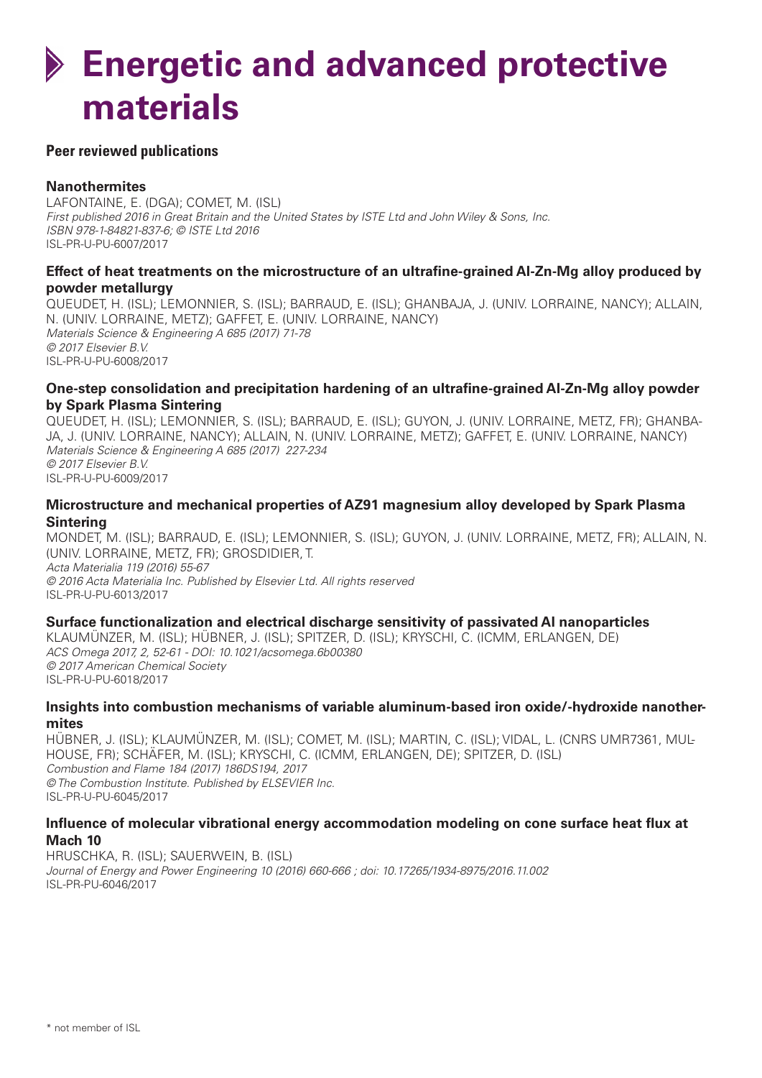# **Energetic and advanced protective materials**

# **Peer reviewed publications**

# **Nanothermites**

LAFONTAINE, E. (DGA); COMET, M. (ISL) *First published 2016 in Great Britain and the United States by ISTE Ltd and John Wiley & Sons, Inc. ISBN 978-1-84821-837-6; © ISTE Ltd 2016* ISL-PR-U-PU-6007/2017

# **Effect of heat treatments on the microstructure of an ultrafine-grained Al-Zn-Mg alloy produced by powder metallurgy**

QUEUDET, H. (ISL); LEMONNIER, S. (ISL); BARRAUD, E. (ISL); GHANBAJA, J. (Univ. Lorraine, Nancy); ALLAIN, N. (Univ. Lorraine, Metz); GAFFET, E. (Univ. Lorraine, Nancy) *Materials Science & Engineering A 685 (2017) 71-78 © 2017 Elsevier B.V.* ISL-PR-U-PU-6008/2017

# **One-step consolidation and precipitation hardening of an ultrafine-grained Al-Zn-Mg alloy powder by Spark Plasma Sintering**

QUEUDET, H. (ISL); LEMONNIER, S. (ISL); BARRAUD, E. (ISL); GUYON, J. (Univ. Lorraine, Metz, FR); GHANBA-JA, J. (Univ. Lorraine, Nancy); ALLAIN, N. (Univ. Lorraine, Metz); GAFFET, E. (Univ. Lorraine, Nancy) *Materials Science & Engineering A 685 (2017) 227-234 © 2017 Elsevier B.V.* ISL-PR-U-PU-6009/2017

# **Microstructure and mechanical properties of AZ91 magnesium alloy developed by Spark Plasma Sintering**

MONDET, M. (ISL); BARRAUD, E. (ISL); LEMONNIER, S. (ISL); GUYON, J. (Univ. Lorraine, Metz, FR); ALLAIN, N. (Univ. Lorraine, Metz, FR); GROSDIDIER, T. *Acta Materialia 119 (2016) 55-67 © 2016 Acta Materialia Inc. Published by Elsevier Ltd. All rights reserved* ISL-PR-U-PU-6013/2017

# **Surface functionalization and electrical discharge sensitivity of passivated Al nanoparticles**

KLAUMÜNZER, M. (ISL); HÜBNER, J. (ISL); SPITZER, D. (ISL); KRYSCHI, C. (ICMM, Erlangen, DE) *ACS Omega 2017, 2, 52-61 - DOI: 10.1021/acsomega.6b00380 © 2017 American Chemical Society* ISL-PR-U-PU-6018/2017

#### **Insights into combustion mechanisms of variable aluminum-based iron oxide/-hydroxide nanothermites**

HÜBNER, J. (ISL); KLAUMÜNZER, M. (ISL); COMET, M. (ISL); MARTIN, C. (ISL); VIDAL, L. (CNRS UMR7361, Mulhouse, FR); SCHÄFER, M. (ISL); KRYSCHI, C. (ICMM, Erlangen, DE); SPITZER, D. (ISL) *Combustion and Flame 184 (2017) 186DS194, 2017 © The Combustion Institute. Published by ELSEVIER Inc.* ISL-PR-U-PU-6045/2017

# **Influence of molecular vibrational energy accommodation modeling on cone surface heat flux at Mach 10**

HRUSCHKA, R. (ISL); SAUERWEIN, B. (ISL) *Journal of Energy and Power Engineering 10 (2016) 660-666 ; doi: 10.17265/1934-8975/2016.11.002* ISL-PR-PU-6046/2017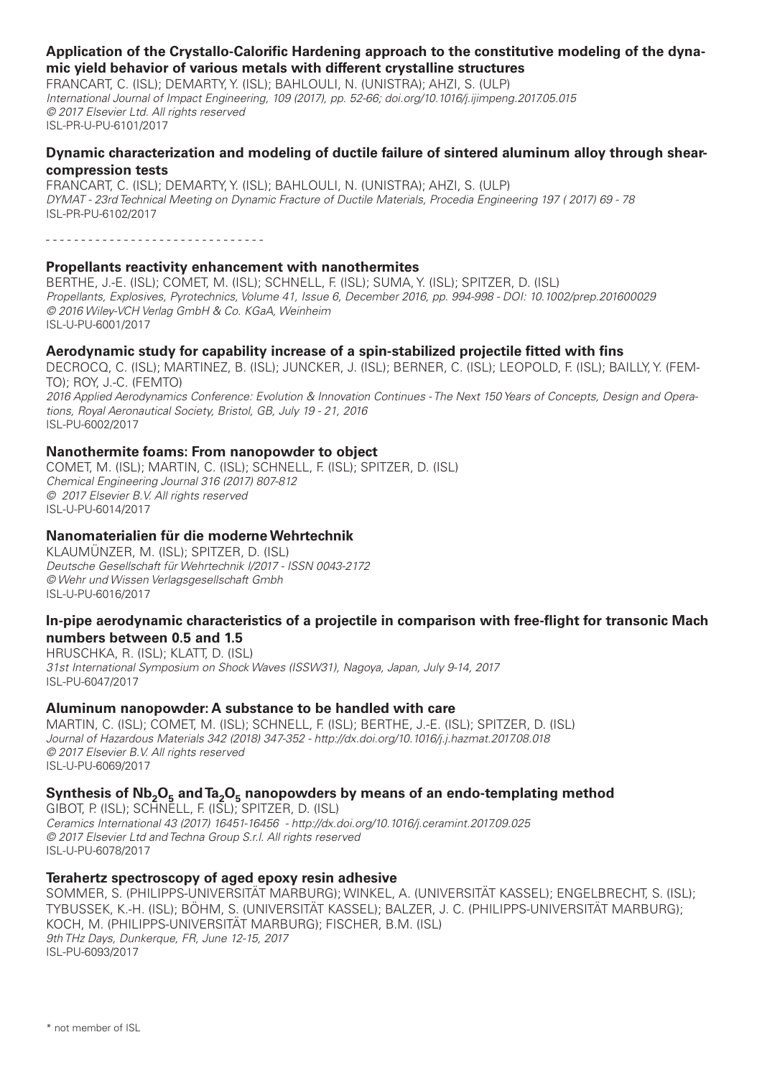# **Application of the Crystallo-Calorific Hardening approach to the constitutive modeling of the dynamic yield behavior of various metals with different crystalline structures**

FRANCART, C. (ISL); DEMARTY, Y. (ISL); BAHLOULI, N. (Unistra); AHZI, S. (ULP) *International Journal of Impact Engineering, 109 (2017), pp. 52-66; doi.org/10.1016/j.ijimpeng.2017.05.015 © 2017 Elsevier Ltd. All rights reserved* ISL-PR-U-PU-6101/2017

# **Dynamic characterization and modeling of ductile failure of sintered aluminum alloy through shearcompression tests**

FRANCART, C. (ISL); DEMARTY, Y. (ISL); BAHLOULI, N. (Unistra); AHZI, S. (ULP) *DYMAT - 23rd Technical Meeting on Dynamic Fracture of Ductile Materials, Procedia Engineering 197 ( 2017) 69 - 78* ISL-PR-PU-6102/2017

- - - - - - - - - - - - - - - - - - - - - - - - - - - - - - -

# **Propellants reactivity enhancement with nanothermites**

BERTHE, J.-E. (ISL); COMET, M. (ISL); SCHNELL, F. (ISL); SUMA, Y. (ISL); SPITZER, D. (ISL) *Propellants, Explosives, Pyrotechnics, Volume 41, Issue 6, December 2016, pp. 994-998 - DOI: 10.1002/prep.201600029 © 2016 Wiley-VCH Verlag GmbH & Co. KGaA, Weinheim* ISL-U-PU-6001/2017

# **Aerodynamic study for capability increase of a spin-stabilized projectile fitted with fins**

DECROCQ, C. (ISL); MARTINEZ, B. (ISL); JUNCKER, J. (ISL); BERNER, C. (ISL); LEOPOLD, F. (ISL); BAILLY, Y. (FEM-TO); ROY, J.-C. (FEMTO)

*2016 Applied Aerodynamics Conference: Evolution & Innovation Continues - The Next 150 Years of Concepts, Design and Operations, Royal Aeronautical Society, Bristol, GB, July 19 - 21, 2016* ISL-PU-6002/2017

# **Nanothermite foams: From nanopowder to object**

COMET, M. (ISL); MARTIN, C. (ISL); SCHNELL, F. (ISL); SPITZER, D. (ISL) *Chemical Engineering Journal 316 (2017) 807-812 © 2017 Elsevier B.V. All rights reserved* ISL-U-PU-6014/2017

# **Nanomaterialien für die moderne Wehrtechnik**

KLAUMÜNZER, M. (ISL); SPITZER, D. (ISL) *Deutsche Gesellschaft für Wehrtechnik I/2017 - ISSN 0043-2172 © Wehr und Wissen Verlagsgesellschaft Gmbh* ISL-U-PU-6016/2017

# **In-pipe aerodynamic characteristics of a projectile in comparison with free-flight for transonic Mach numbers between 0.5 and 1.5**

HRUSCHKA, R. (ISL); KLATT, D. (ISL) *31st International Symposium on Shock Waves (ISSW31), Nagoya, Japan, July 9-14, 2017* ISL-PU-6047/2017

#### **Aluminum nanopowder: A substance to be handled with care**

MARTIN, C. (ISL); COMET, M. (ISL); SCHNELL, F. (ISL); BERTHE, J.-E. (ISL); SPITZER, D. (ISL) *Journal of Hazardous Materials 342 (2018) 347-352 - http://dx.doi.org/10.1016/j.j.hazmat.2017.08.018 © 2017 Elsevier B.V. All rights reserved* ISL-U-PU-6069/2017

# Synthesis of Nb<sub>2</sub>O<sub>5</sub> and Ta<sub>2</sub>O<sub>5</sub> nanopowders by means of an endo-templating method

GIBOT, P. (ISL); SCHNELL, F. (ISL); SPITZER, D. (ISL) *Ceramics International 43 (2017) 16451-16456 - http://dx.doi.org/10.1016/j.ceramint.2017.09.025 © 2017 Elsevier Ltd and Techna Group S.r.l. All rights reserved* ISL-U-PU-6078/2017

# **Terahertz spectroscopy of aged epoxy resin adhesive**

SOMMER, S. (Philipps-Universität Marburg); WINKEL, A. (Universität Kassel); ENGELBRECHT, S. (ISL); TYBUSSEK, K.-H. (ISL); BÖHM, S. (Universität Kassel); BALZER, J. C. (Philipps-Universität Marburg); KOCH, M. (Philipps-Universität Marburg); FISCHER, B.M. (ISL) *9th THz Days, Dunkerque, FR, June 12-15, 2017* ISL-PU-6093/2017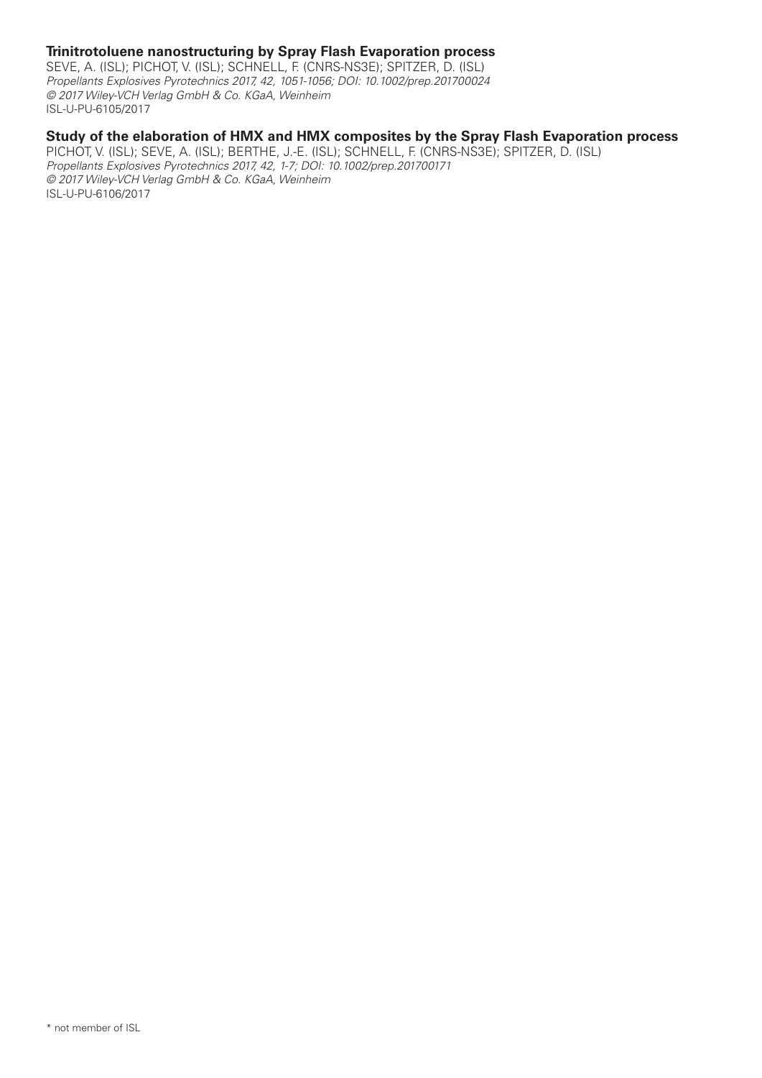# **Trinitrotoluene nanostructuring by Spray Flash Evaporation process**

SEVE, A. (ISL); PICHOT, V. (ISL); SCHNELL, F. (CNRS-NS3E); SPITZER, D. (ISL) *Propellants Explosives Pyrotechnics 2017, 42, 1051-1056; DOI: 10.1002/prep.201700024 © 2017 Wiley-VCH Verlag GmbH & Co. KGaA, Weinheim* ISL-U-PU-6105/2017

#### **Study of the elaboration of HMX and HMX composites by the Spray Flash Evaporation process**

PICHOT, V. (ISL); SEVE, A. (ISL); BERTHE, J.-E. (ISL); SCHNELL, F. (CNRS-NS3E); SPITZER, D. (ISL) *Propellants Explosives Pyrotechnics 2017, 42, 1-7; DOI: 10.1002/prep.201700171 © 2017 Wiley-VCH Verlag GmbH & Co. KGaA, Weinheim* ISL-U-PU-6106/2017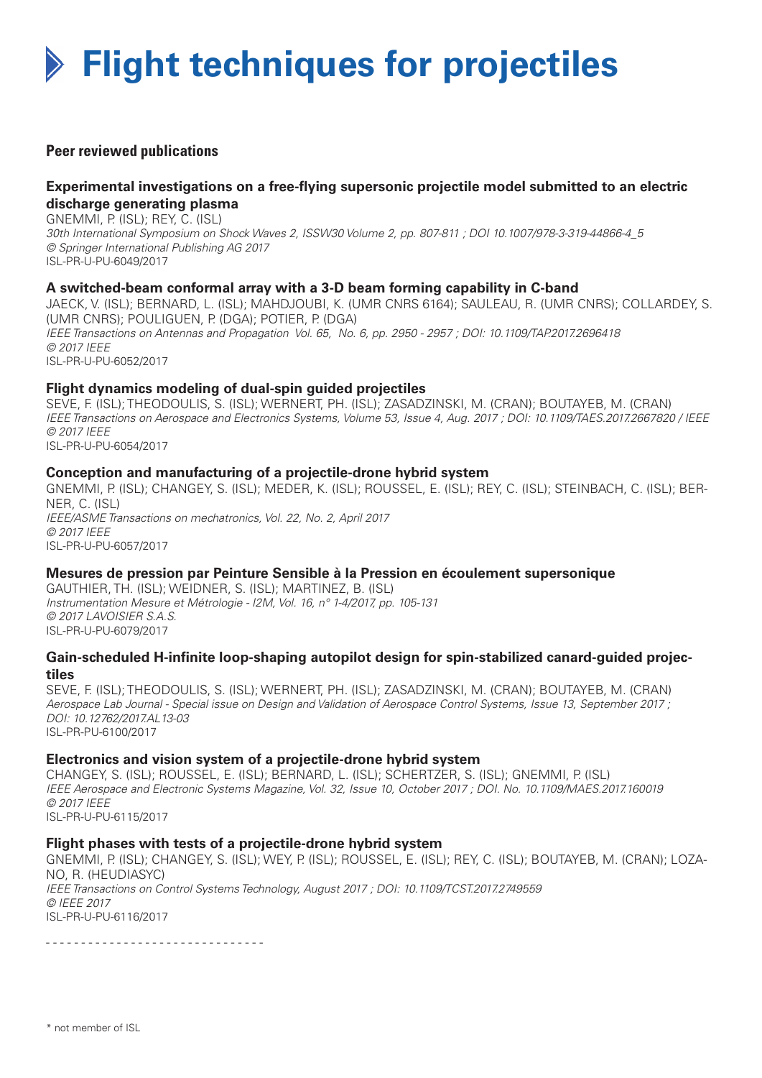# **Flight techniques for projectiles**

# **Peer reviewed publications**

# **Experimental investigations on a free-flying supersonic projectile model submitted to an electric discharge generating plasma**

GNEMMI, P. (ISL); REY, C. (ISL) *30th International Symposium on Shock Waves 2, ISSW30 Volume 2, pp. 807-811 ; DOI 10.1007/978-3-319-44866-4\_5 © Springer International Publishing AG 2017* ISL-PR-U-PU-6049/2017

# **A switched-beam conformal array with a 3-D beam forming capability in C-band**

JAECK, V. (ISL); BERNARD, L. (ISL); MAHDJOUBI, K. (UMR CNRS 6164); SAULEAU, R. (UMR CNRS); COLLARDEY, S. (UMR CNRS); POULIGUEN, P. (DGA); POTIER, P. (DGA) *IEEE Transactions on Antennas and Propagation Vol. 65, No. 6, pp. 2950 - 2957 ; DOI: 10.1109/TAP.2017.2696418 © 2017 IEEE* ISL-PR-U-PU-6052/2017

#### **Flight dynamics modeling of dual-spin guided projectiles**

SEVE, F. (ISL); THEODOULIS, S. (ISL); WERNERT, Ph. (ISL); ZASADZINSKI, M. (CRAN); BOUTAYEB, M. (CRAN) *IEEE Transactions on Aerospace and Electronics Systems, Volume 53, Issue 4, Aug. 2017 ; DOI: 10.1109/TAES.2017.2667820 / IEEE © 2017 IEEE* ISL-PR-U-PU-6054/2017

# **Conception and manufacturing of a projectile-drone hybrid system**

GNEMMI, P. (ISL); CHANGEY, S. (ISL); MEDER, K. (ISL); ROUSSEL, E. (ISL); REY, C. (ISL); STEINBACH, C. (ISL); BER-NER, C. (ISL) *IEEE/ASME Transactions on mechatronics, Vol. 22, No. 2, April 2017 © 2017 IEEE* ISL-PR-U-PU-6057/2017

#### **Mesures de pression par Peinture Sensible à la Pression en écoulement supersonique**

GAUTHIER, Th. (ISL); WEIDNER, S. (ISL); MARTINEZ, B. (ISL) *Instrumentation Mesure et Métrologie - I2M, Vol. 16, n° 1-4/2017, pp. 105-131 © 2017 LAVOISIER S.A.S.* ISL-PR-U-PU-6079/2017

#### **Gain-scheduled H-infinite loop-shaping autopilot design for spin-stabilized canard-guided projectiles**

SEVE, F. (ISL); THEODOULIS, S. (ISL); WERNERT, Ph. (ISL); ZASADZINSKI, M. (CRAN); BOUTAYEB, M. (CRAN) *Aerospace Lab Journal - Special issue on Design and Validation of Aerospace Control Systems, Issue 13, September 2017 ; DOI: 10.12762/2017.AL13-03* ISL-PR-PU-6100/2017

#### **Electronics and vision system of a projectile-drone hybrid system**

CHANGEY, S. (ISL); ROUSSEL, E. (ISL); BERNARD, L. (ISL); SCHERTZER, S. (ISL); GNEMMI, P. (ISL) *IEEE Aerospace and Electronic Systems Magazine, Vol. 32, Issue 10, October 2017 ; DOI. No. 10.1109/MAES.2017.160019 © 2017 IEEE*

ISL-PR-U-PU-6115/2017

# **Flight phases with tests of a projectile-drone hybrid system**

GNEMMI, P. (ISL); CHANGEY, S. (ISL); WEY, P. (ISL); ROUSSEL, E. (ISL); REY, C. (ISL); BOUTAYEB, M. (CRAN); LOZA-NO, R. (HEUDIASYC) *IEEE Transactions on Control Systems Technology, August 2017 ; DOI: 10.1109/TCST.2017.2749559 © IEEE 2017* ISL-PR-U-PU-6116/2017

- - - - - - - - - - - - - - - - - - - - - - - - - - - - - - -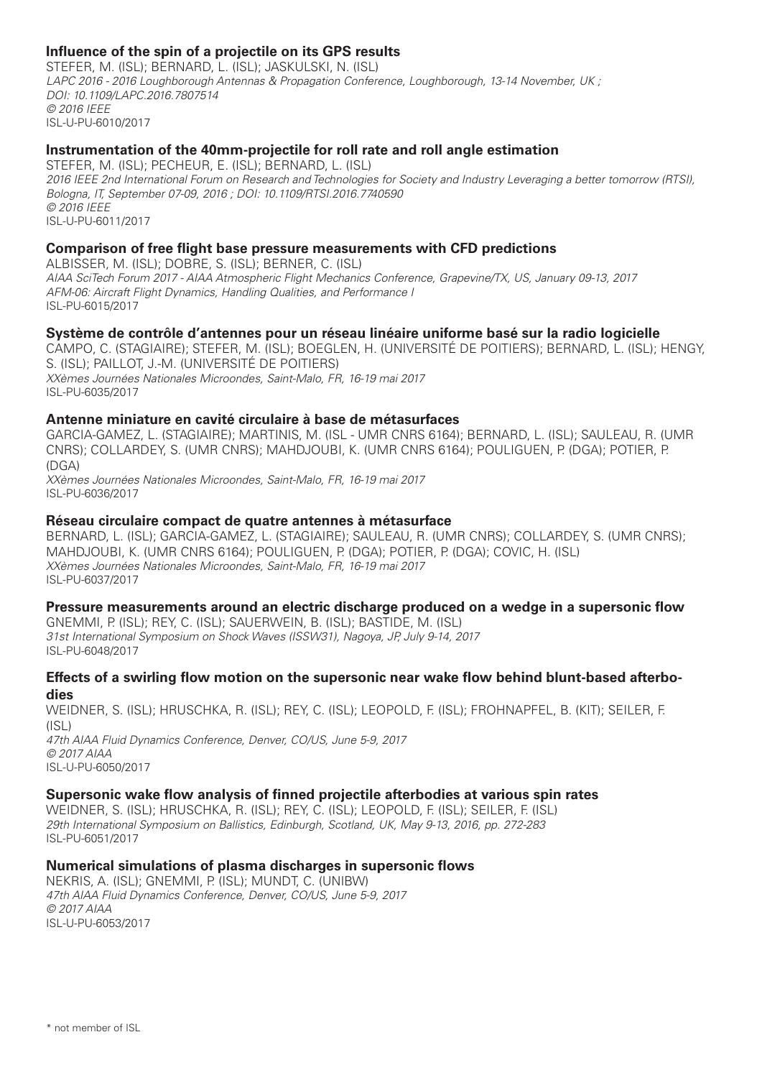# **Influence of the spin of a projectile on its GPS results**

STEFER, M. (ISL); BERNARD, L. (ISL); JASKULSKI, N. (ISL) *LAPC 2016 - 2016 Loughborough Antennas & Propagation Conference, Loughborough, 13-14 November, UK ; DOI: 10.1109/LAPC.2016.7807514 © 2016 IEEE* ISL-U-PU-6010/2017

# **Instrumentation of the 40mm-projectile for roll rate and roll angle estimation**

STEFER, M. (ISL); PECHEUR, E. (ISL); BERNARD, L. (ISL) *2016 IEEE 2nd International Forum on Research and Technologies for Society and Industry Leveraging a better tomorrow (RTSI), Bologna, IT, September 07-09, 2016 ; DOI: 10.1109/RTSI.2016.7740590 © 2016 IEEE* ISL-U-PU-6011/2017

#### **Comparison of free flight base pressure measurements with CFD predictions**

ALBISSER, M. (ISL); DOBRE, S. (ISL); BERNER, C. (ISL) *AIAA SciTech Forum 2017 - AIAA Atmospheric Flight Mechanics Conference, Grapevine/TX, US, January 09-13, 2017 AFM-06: Aircraft Flight Dynamics, Handling Qualities, and Performance I* ISL-PU-6015/2017

# **Système de contrôle d'antennes pour un réseau linéaire uniforme basé sur la radio logicielle**

CAMPO, C. (STAGIAIRE); STEFER, M. (ISL); BOEGLEN, H. (Université de Poitiers); BERNARD, L. (ISL); HENGY, S. (ISL); PAILLOT, J.-M. (Université de Poitiers)

*XXèmes Journées Nationales Microondes, Saint-Malo, FR, 16-19 mai 2017* ISL-PU-6035/2017

# **Antenne miniature en cavité circulaire à base de métasurfaces**

GARCIA-GAMEZ, L. (stagiaire); MARTINIS, M. (ISL - UMR CNRS 6164); BERNARD, L. (ISL); SAULEAU, R. (UMR CNRS); COLLARDEY, S. (UMR CNRS); MAHDJOUBI, K. (UMR CNRS 6164); POULIGUEN, P. (DGA); POTIER, P. (DGA)

*XXèmes Journées Nationales Microondes, Saint-Malo, FR, 16-19 mai 2017* ISL-PU-6036/2017

# **Réseau circulaire compact de quatre antennes à métasurface**

BERNARD, L. (ISL); GARCIA-GAMEZ, L. (stagiaire); SAULEAU, R. (UMR CNRS); COLLARDEY, S. (UMR CNRS); MAHDJOUBI, K. (UMR CNRS 6164); POULIGUEN, P. (DGA); POTIER, P. (DGA); COVIC, H. (ISL) *XXèmes Journées Nationales Microondes, Saint-Malo, FR, 16-19 mai 2017* ISL-PU-6037/2017

# **Pressure measurements around an electric discharge produced on a wedge in a supersonic flow**

GNEMMI, P. (ISL); REY, C. (ISL); SAUERWEIN, B. (ISL); BASTIDE, M. (ISL) *31st International Symposium on Shock Waves (ISSW31), Nagoya, JP, July 9-14, 2017* ISL-PU-6048/2017

#### **Effects of a swirling flow motion on the supersonic near wake flow behind blunt-based afterbodies**

WEIDNER, S. (ISL); HRUSCHKA, R. (ISL); REY, C. (ISL); LEOPOLD, F. (ISL); FROHNAPFEL, B. (KIT); SEILER, F. (ISL) *47th AIAA Fluid Dynamics Conference, Denver, CO/US, June 5-9, 2017 © 2017 AIAA* ISL-U-PU-6050/2017

# **Supersonic wake flow analysis of finned projectile afterbodies at various spin rates**

WEIDNER, S. (ISL); HRUSCHKA, R. (ISL); REY, C. (ISL); LEOPOLD, F. (ISL); SEILER, F. (ISL) *29th International Symposium on Ballistics, Edinburgh, Scotland, UK, May 9-13, 2016, pp. 272-283* ISL-PU-6051/2017

# **Numerical simulations of plasma discharges in supersonic flows**

NEKRIS, A. (ISL); GNEMMI, P. (ISL); MUNDT, C. (UNIBW) *47th AIAA Fluid Dynamics Conference, Denver, CO/US, June 5-9, 2017 © 2017 AIAA* ISL-U-PU-6053/2017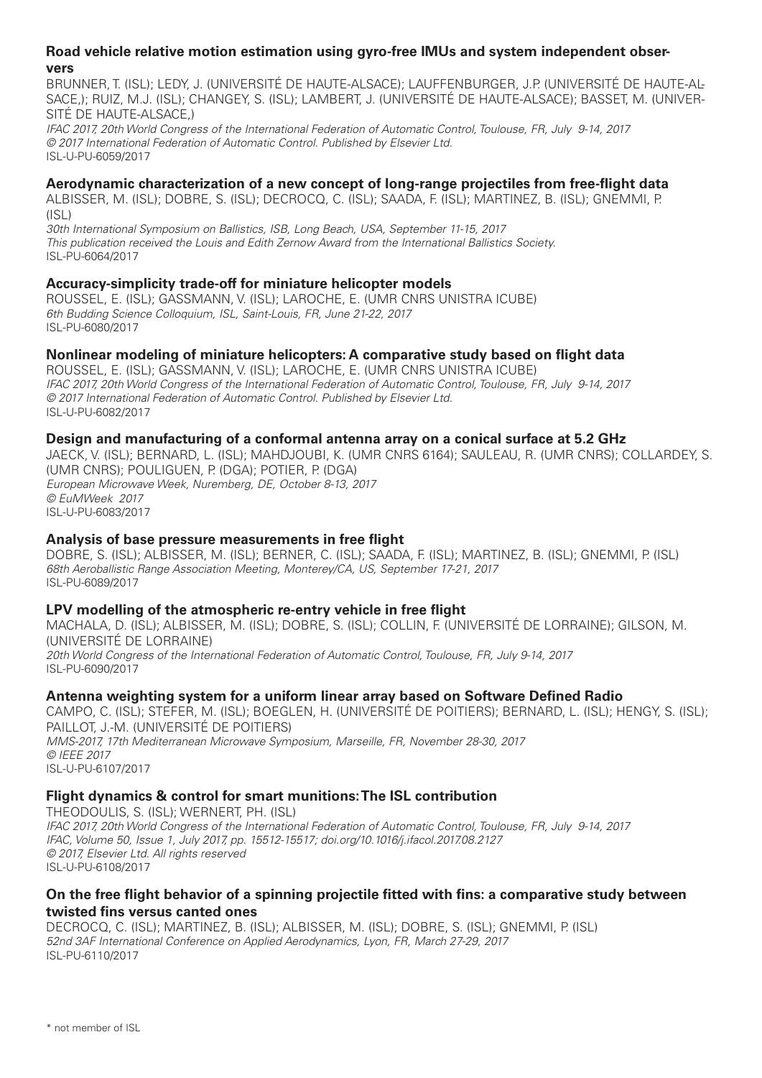### **Road vehicle relative motion estimation using gyro-free IMUs and system independent observers**

BRUNNER, T. (ISL); LEDY, J. (Université de Haute-Alsace); LAUFFENBURGER, J.P. (Université de Haute-Alsace,); RUIZ, M.J. (ISL); CHANGEY, S. (ISL); LAMBERT, J. (Université de Haute-Alsace); BASSET, M. (Université de Haute-Alsace,)

*IFAC 2017, 20th World Congress of the International Federation of Automatic Control, Toulouse, FR, July 9-14, 2017 © 2017 International Federation of Automatic Control. Published by Elsevier Ltd.* ISL-U-PU-6059/2017

# **Aerodynamic characterization of a new concept of long-range projectiles from free-flight data**

ALBISSER, M. (ISL); DOBRE, S. (ISL); DECROCQ, C. (ISL); SAADA, F. (ISL); MARTINEZ, B. (ISL); GNEMMI, P.  $(ISL)$ 

*30th International Symposium on Ballistics, ISB, Long Beach, USA, September 11-15, 2017 This publication received the Louis and Edith Zernow Award from the International Ballistics Society.* ISL-PU-6064/2017

# **Accuracy-simplicity trade-off for miniature helicopter models**

ROUSSEL, E. (ISL); GASSMANN, V. (ISL); LAROCHE, E. (UMR CNRS Unistra ICUBE) *6th Budding Science Colloquium, ISL, Saint-Louis, FR, June 21-22, 2017* ISL-PU-6080/2017

# **Nonlinear modeling of miniature helicopters: A comparative study based on flight data**

ROUSSEL, E. (ISL); GASSMANN, V. (ISL); LAROCHE, E. (UMR CNRS Unistra ICUBE) *IFAC 2017, 20th World Congress of the International Federation of Automatic Control, Toulouse, FR, July 9-14, 2017 © 2017 International Federation of Automatic Control. Published by Elsevier Ltd.* ISL-U-PU-6082/2017

# **Design and manufacturing of a conformal antenna array on a conical surface at 5.2 GHz**

JAECK, V. (ISL); BERNARD, L. (ISL); MAHDJOUBI, K. (UMR CNRS 6164); SAULEAU, R. (UMR CNRS); COLLARDEY, S. (UMR CNRS); POULIGUEN, P. (DGA); POTIER, P. (DGA) *European Microwave Week, Nuremberg, DE, October 8-13, 2017 © EuMWeek 2017* ISL-U-PU-6083/2017

### **Analysis of base pressure measurements in free flight**

DOBRE, S. (ISL); ALBISSER, M. (ISL); BERNER, C. (ISL); SAADA, F. (ISL); MARTINEZ, B. (ISL); GNEMMI, P. (ISL) *68th Aeroballistic Range Association Meeting, Monterey/CA, US, September 17-21, 2017* ISL-PU-6089/2017

#### **LPV modelling of the atmospheric re-entry vehicle in free flight**

MACHALA, D. (ISL); ALBISSER, M. (ISL); DOBRE, S. (ISL); COLLIN, F. (Université de Lorraine); GILSON, M. (Université de Lorraine) *20th World Congress of the International Federation of Automatic Control, Toulouse, FR, July 9-14, 2017* ISL-PU-6090/2017

#### **Antenna weighting system for a uniform linear array based on Software Defined Radio**

CAMPO, C. (ISL); STEFER, M. (ISL); BOEGLEN, H. (Université de Poitiers); BERNARD, L. (ISL); HENGY, S. (ISL); PAILLOT, J.-M. (Université de Poitiers) *MMS-2017, 17th Mediterranean Microwave Symposium, Marseille, FR, November 28-30, 2017 © IEEE 2017* ISL-U-PU-6107/2017

#### **Flight dynamics & control for smart munitions: The ISL contribution**

THEODOULIS, S. (ISL); WERNERT, Ph. (ISL) *IFAC 2017, 20th World Congress of the International Federation of Automatic Control, Toulouse, FR, July 9-14, 2017 IFAC, Volume 50, Issue 1, July 2017, pp. 15512-15517; doi.org/10.1016/j.ifacol.2017.08.2127 © 2017, Elsevier Ltd. All rights reserved* ISL-U-PU-6108/2017

# **On the free flight behavior of a spinning projectile fitted with fins: a comparative study between twisted fins versus canted ones**

DECROCQ, C. (ISL); MARTINEZ, B. (ISL); ALBISSER, M. (ISL); DOBRE, S. (ISL); GNEMMI, P. (ISL) *52nd 3AF International Conference on Applied Aerodynamics, Lyon, FR, March 27-29, 2017* ISL-PU-6110/2017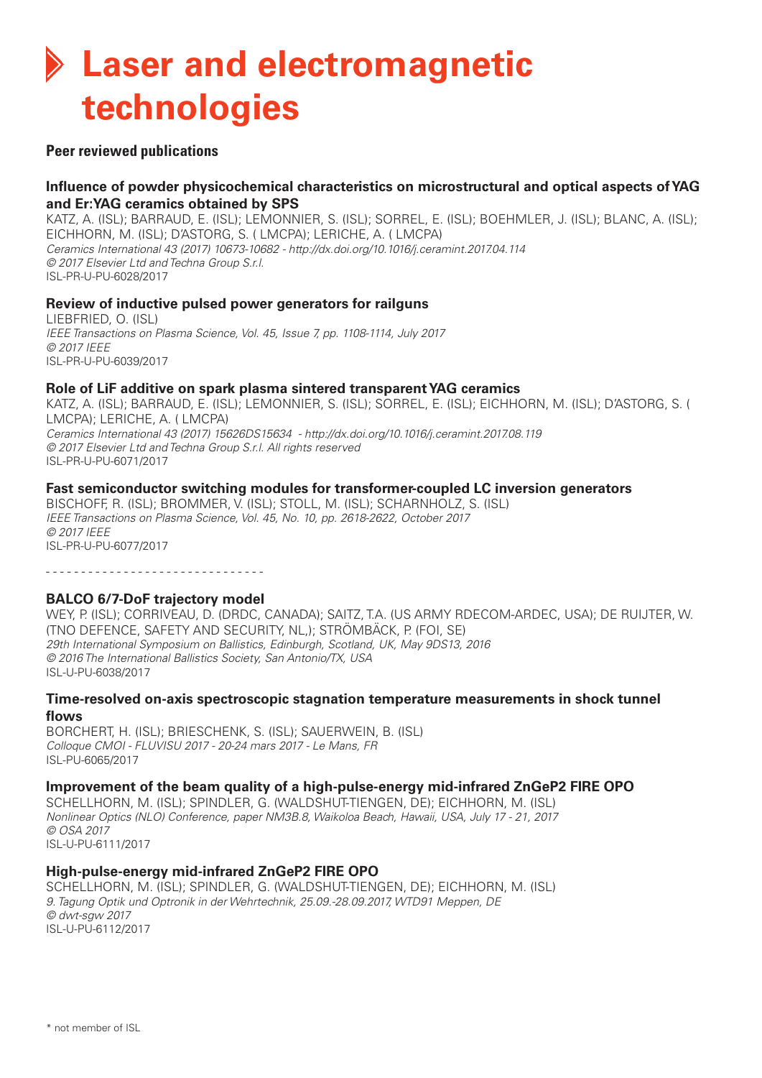# **Laser and electromagnetic technologies**

### **Peer reviewed publications**

# **Influence of powder physicochemical characteristics on microstructural and optical aspects of YAG and Er:YAG ceramics obtained by SPS**

KATZ, A. (ISL); BARRAUD, E. (ISL); LEMONNIER, S. (ISL); SORREL, E. (ISL); BOEHMLER, J. (ISL); BLANC, A. (ISL); EICHHORN, M. (ISL); d'ASTORG, S. ( LMCPA); LERICHE, A. ( LMCPA) *Ceramics International 43 (2017) 10673-10682 - http://dx.doi.org/10.1016/j.ceramint.2017.04.114 © 2017 Elsevier Ltd and Techna Group S.r.l.* ISL-PR-U-PU-6028/2017

#### **Review of inductive pulsed power generators for railguns**

LIEBFRIED, O. (ISL) *IEEE Transactions on Plasma Science, Vol. 45, Issue 7, pp. 1108-1114, July 2017 © 2017 IEEE* ISL-PR-U-PU-6039/2017

#### **Role of LiF additive on spark plasma sintered transparent YAG ceramics**

KATZ, A. (ISL); BARRAUD, E. (ISL); LEMONNIER, S. (ISL); SORREL, E. (ISL); EICHHORN, M. (ISL); d'ASTORG, S. ( LMCPA); LERICHE, A. ( LMCPA) *Ceramics International 43 (2017) 15626DS15634 - http://dx.doi.org/10.1016/j.ceramint.2017.08.119 © 2017 Elsevier Ltd and Techna Group S.r.l. All rights reserved* ISL-PR-U-PU-6071/2017

#### **Fast semiconductor switching modules for transformer-coupled LC inversion generators**

BISCHOFF, R. (ISL); BROMMER, V. (ISL); STOLL, M. (ISL); SCHARNHOLZ, S. (ISL) *IEEE Transactions on Plasma Science, Vol. 45, No. 10, pp. 2618-2622, October 2017 © 2017 IEEE* ISL-PR-U-PU-6077/2017

- - - - - - - - - - - - - - - - - - - - - - - - - - - - - - -

#### **BALCO 6/7-DoF trajectory model**

WEY, P. (ISL); CORRIVEAU, D. (DRDC, Canada); SAITZ, T.A. (US Army RDECOM-ARDEC, USA); de RUIJTER, W. (TNO Defence, Safety and Security, NL,); STRÖMBÄCK, P. (FOI, SE) *29th International Symposium on Ballistics, Edinburgh, Scotland, UK, May 9DS13, 2016 © 2016 The International Ballistics Society, San Antonio/TX, USA* ISL-U-PU-6038/2017

#### **Time-resolved on-axis spectroscopic stagnation temperature measurements in shock tunnel flows**

BORCHERT, H. (ISL); BRIESCHENK, S. (ISL); SAUERWEIN, B. (ISL) *Colloque CMOI - FLUVISU 2017 - 20-24 mars 2017 - Le Mans, FR* ISL-PU-6065/2017

#### **Improvement of the beam quality of a high-pulse-energy mid-infrared ZnGeP2 FIRE OPO**

SCHELLHORN, M. (ISL); SPINDLER, G. (Waldshut-Tiengen, DE); EICHHORN, M. (ISL) *Nonlinear Optics (NLO) Conference, paper NM3B.8, Waikoloa Beach, Hawaii, USA, July 17 - 21, 2017 © OSA 2017* ISL-U-PU-6111/2017

#### **High-pulse-energy mid-infrared ZnGeP2 FIRE OPO**

SCHELLHORN, M. (ISL); SPINDLER, G. (Waldshut-Tiengen, DE); EICHHORN, M. (ISL) *9. Tagung Optik und Optronik in der Wehrtechnik, 25.09.-28.09.2017, WTD91 Meppen, DE © dwt-sgw 2017* ISL-U-PU-6112/2017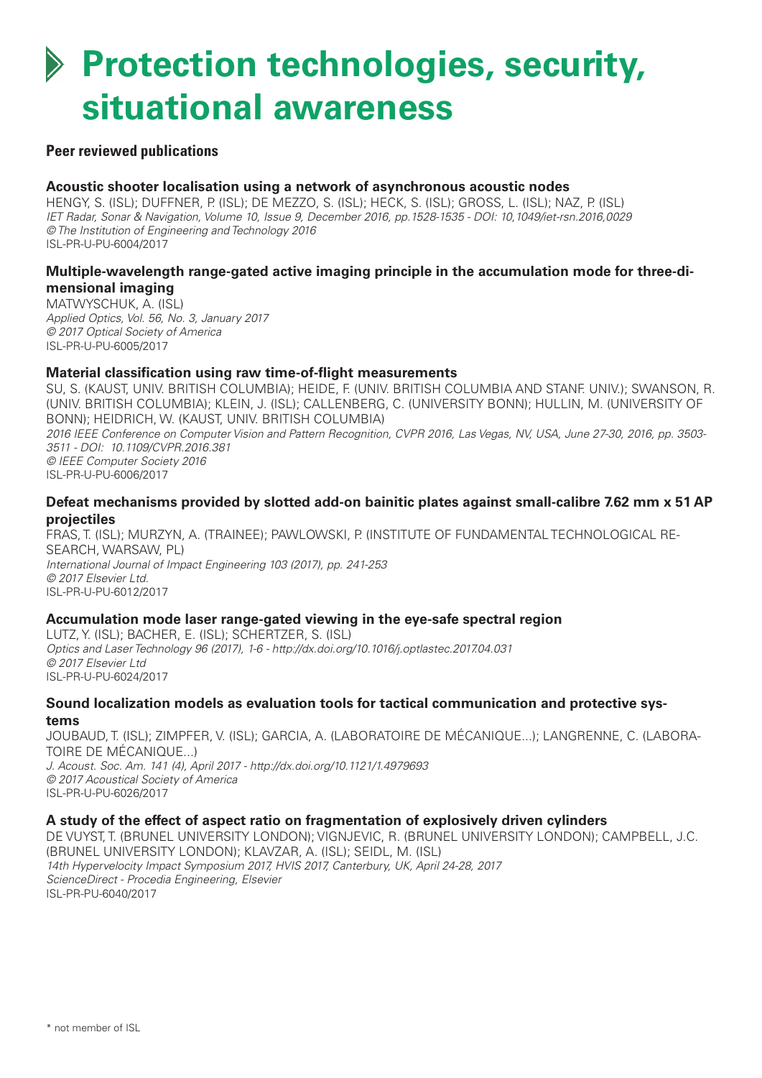# **Protection technologies, security, situational awareness**

# **Peer reviewed publications**

#### **Acoustic shooter localisation using a network of asynchronous acoustic nodes**

HENGY, S. (ISL); DUFFNER, P. (ISL); De MEZZO, S. (ISL); HECK, S. (ISL); GROSS, L. (ISL); NAZ, P. (ISL) *IET Radar, Sonar & Navigation, Volume 10, Issue 9, December 2016, pp.1528-1535 - DOI: 10,1049/iet-rsn.2016,0029 © The Institution of Engineering and Technology 2016* ISL-PR-U-PU-6004/2017

#### **Multiple-wavelength range-gated active imaging principle in the accumulation mode for three-dimensional imaging**

MATWYSCHUK, A. (ISL) *Applied Optics, Vol. 56, No. 3, January 2017 © 2017 Optical Society of America* ISL-PR-U-PU-6005/2017

#### **Material classification using raw time-of-flight measurements**

SU, S. (KAUST, Univ. British Columbia); HEIDE, F. (Univ. British Columbia and Stanf. Univ.); SWANSON, R. (Univ. British Columbia); KLEIN, J. (ISL); CALLENBERG, C. (University Bonn); HULLIN, M. (University of Bonn); HEIDRICH, W. (KAUST, Univ. British Columbia) *2016 IEEE Conference on Computer Vision and Pattern Recognition, CVPR 2016, Las Vegas, NV, USA, June 27-30, 2016, pp. 3503- 3511 - DOI: 10.1109/CVPR.2016.381 © IEEE Computer Society 2016* ISL-PR-U-PU-6006/2017

#### **Defeat mechanisms provided by slotted add-on bainitic plates against small-calibre 7.62 mm x 51 AP projectiles**

FRAS, T. (ISL); MURZYN, A. (trainee); PAWLOWSKI, P. (Institute of Fundamental Technological Research, Warsaw, PL) *International Journal of Impact Engineering 103 (2017), pp. 241-253 © 2017 Elsevier Ltd.* ISL-PR-U-PU-6012/2017

#### **Accumulation mode laser range-gated viewing in the eye-safe spectral region**

LUTZ, Y. (ISL); BACHER, E. (ISL); SCHERTZER, S. (ISL) *Optics and Laser Technology 96 (2017), 1-6 - http://dx.doi.org/10.1016/j.optlastec.2017.04.031 © 2017 Elsevier Ltd* ISL-PR-U-PU-6024/2017

#### **Sound localization models as evaluation tools for tactical communication and protective systems**

JOUBAUD, T. (ISL); ZIMPFER, V. (ISL); GARCIA, A. (Laboratoire de Mécanique...); LANGRENNE, C. (Laboratoire de Mécanique...) *J. Acoust. Soc. Am. 141 (4), April 2017 - http://dx.doi.org/10.1121/1.4979693 © 2017 Acoustical Society of America* ISL-PR-U-PU-6026/2017

#### **A study of the effect of aspect ratio on fragmentation of explosively driven cylinders**

De VUYST, T. (Brunel University London); VIGNJEVIC, R. (Brunel University London); CAMPBELL, J.C. (Brunel University London); KLAVZAR, A. (ISL); SEIDL, M. (ISL) *14th Hypervelocity Impact Symposium 2017, HVIS 2017, Canterbury, UK, April 24-28, 2017 ScienceDirect - Procedia Engineering, Elsevier* ISL-PR-PU-6040/2017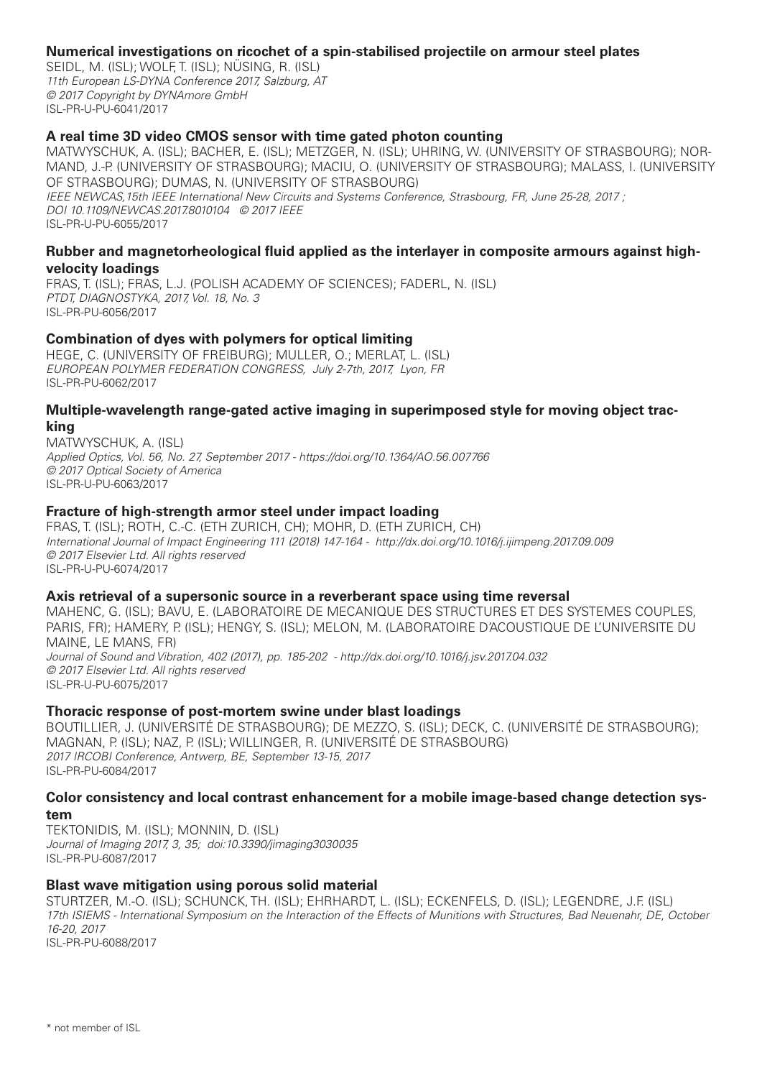### **Numerical investigations on ricochet of a spin-stabilised projectile on armour steel plates**

SEIDL, M. (ISL); WOLF, T. (ISL); NÜSING, R. (ISL) *11th European LS-DYNA Conference 2017, Salzburg, AT © 2017 Copyright by DYNAmore GmbH* ISL-PR-U-PU-6041/2017

### **A real time 3D video CMOS sensor with time gated photon counting**

MATWYSCHUK, A. (ISL); BACHER, E. (ISL); METZGER, N. (ISL); UHRING, W. (University of Strasbourg); NOR-MAND, J.-P. (University of Strasbourg); MACIU, O. (University of Strasbourg); MALASS, I. (University of Strasbourg); DUMAS, N. (University of Strasbourg) *IEEE NEWCAS,15th IEEE International New Circuits and Systems Conference, Strasbourg, FR, June 25-28, 2017 ; DOI 10.1109/NEWCAS.2017.8010104 © 2017 IEEE* ISL-PR-U-PU-6055/2017

#### **Rubber and magnetorheological fluid applied as the interlayer in composite armours against highvelocity loadings**

FRAS, T. (ISL); FRAS, L.J. (Polish Academy of Sciences); FADERL, N. (ISL) *PTDT, DIAGNOSTYKA, 2017, Vol. 18, No. 3* ISL-PR-PU-6056/2017

# **Combination of dyes with polymers for optical limiting**

HEGE, C. (University of Freiburg); MULLER, O.; MERLAT, L. (ISL) *EUROPEAN POLYMER FEDERATION CONGRESS, July 2-7th, 2017, Lyon, FR* ISL-PR-PU-6062/2017

#### **Multiple-wavelength range-gated active imaging in superimposed style for moving object tracking**

MATWYSCHUK, A. (ISL) *Applied Optics, Vol. 56, No. 27, September 2017 - https://doi.org/10.1364/AO.56.007766 © 2017 Optical Society of America* ISL-PR-U-PU-6063/2017

# **Fracture of high-strength armor steel under impact loading**

FRAS, T. (ISL); ROTH, C.-C. (ETH Zurich, CH); MOHR, D. (ETH Zurich, CH) *International Journal of Impact Engineering 111 (2018) 147-164 - http://dx.doi.org/10.1016/j.ijimpeng.2017.09.009 © 2017 Elsevier Ltd. All rights reserved* ISL-PR-U-PU-6074/2017

#### **Axis retrieval of a supersonic source in a reverberant space using time reversal**

MAHENC, G. (ISL); BAVU, E. (Laboratoire de Mecanique des Structures et des Systemes Couples, Paris, FR); HAMERY, P. (ISL); HENGY, S. (ISL); MELON, M. (Laboratoire d'Acoustique de l'Universite du Maine, Le Mans, FR) *Journal of Sound and Vibration, 402 (2017), pp. 185-202 - http://dx.doi.org/10.1016/j.jsv.2017.04.032 © 2017 Elsevier Ltd. All rights reserved* ISL-PR-U-PU-6075/2017

#### **Thoracic response of post-mortem swine under blast loadings**

BOUTILLIER, J. (Université de Strasbourg); De MEZZO, S. (ISL); DECK, C. (Université de Strasbourg); MAGNAN, P. (ISL); NAZ, P. (ISL); WILLINGER, R. (Université de Strasbourg) *2017 IRCOBI Conference, Antwerp, BE, September 13-15, 2017* ISL-PR-PU-6084/2017

#### **Color consistency and local contrast enhancement for a mobile image-based change detection system**

TEKTONIDIS, M. (ISL); MONNIN, D. (ISL) *Journal of Imaging 2017, 3, 35; doi:10.3390/jimaging3030035* ISL-PR-PU-6087/2017

#### **Blast wave mitigation using porous solid material**

STURTZER, M.-O. (ISL); SCHUNCK, Th. (ISL); EHRHARDT, L. (ISL); ECKENFELS, D. (ISL); LEGENDRE, J.F. (ISL) *17th ISIEMS - International Symposium on the Interaction of the Effects of Munitions with Structures, Bad Neuenahr, DE, October 16-20, 2017* ISL-PR-PU-6088/2017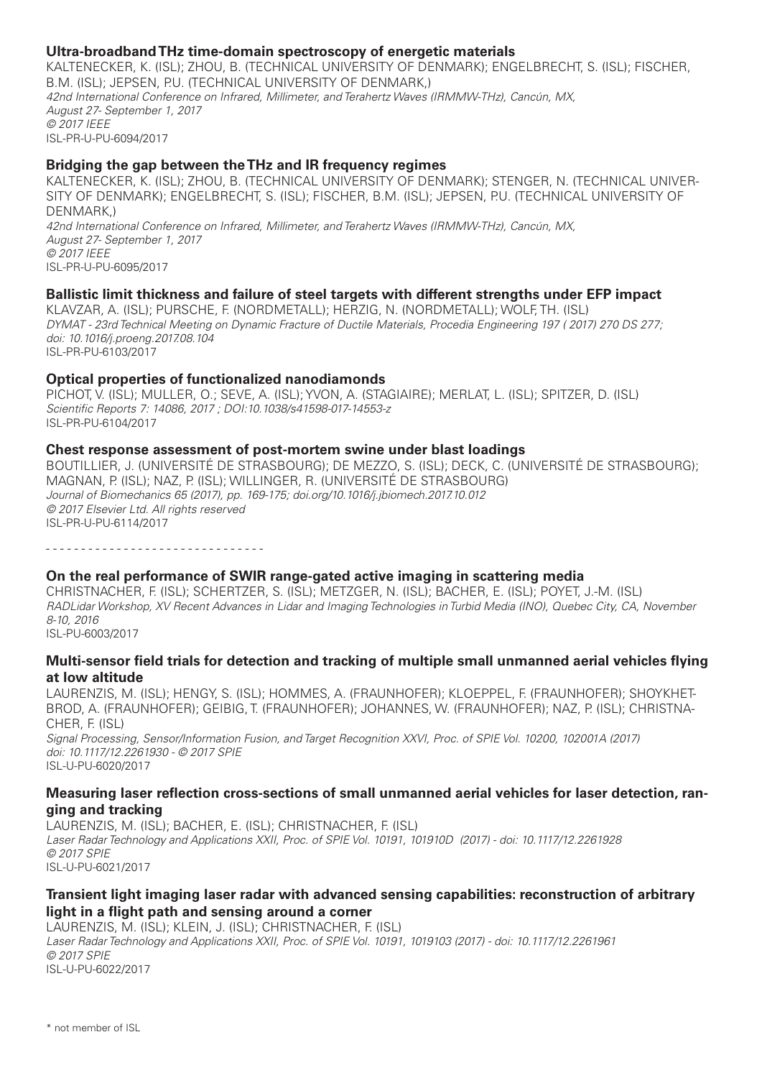#### **Ultra-broadband THz time-domain spectroscopy of energetic materials**

KALTENECKER, K. (ISL); ZHOU, B. (Technical University of Denmark); ENGELBRECHT, S. (ISL); FISCHER, B.M. (ISL); JEPSEN, P.U. (TECHNICAL UNIVERSITY OF DENMARK.) *42nd International Conference on Infrared, Millimeter, and Terahertz Waves (IRMMW-THz), Cancún, MX, August 27- September 1, 2017 © 2017 IEEE* ISL-PR-U-PU-6094/2017

# **Bridging the gap between the THz and IR frequency regimes**

KALTENECKER, K. (ISL); ZHOU, B. (Technical University of Denmark); STENGER, N. (Technical University of Denmark); ENGELBRECHT, S. (ISL); FISCHER, B.M. (ISL); JEPSEN, P.U. (Technical University of DENMARK.)

*42nd International Conference on Infrared, Millimeter, and Terahertz Waves (IRMMW-THz), Cancún, MX, August 27- September 1, 2017 © 2017 IEEE* ISL-PR-U-PU-6095/2017

#### **Ballistic limit thickness and failure of steel targets with different strengths under EFP impact**

KLAVZAR, A. (ISL); PURSCHE, F. (Nordmetall); HERZIG, N. (Nordmetall); WOLF, Th. (ISL) *DYMAT - 23rd Technical Meeting on Dynamic Fracture of Ductile Materials, Procedia Engineering 197 ( 2017) 270 DS 277; doi: 10.1016/j.proeng.2017.08.104* ISL-PR-PU-6103/2017

#### **Optical properties of functionalized nanodiamonds**

PICHOT, V. (ISL); MULLER, O.; SEVE, A. (ISL); YVON, A. (STAGIAIRE); MERLAT, L. (ISL); SPITZER, D. (ISL) *Scientific Reports 7: 14086, 2017 ; DOI:10.1038/s41598-017-14553-z* ISL-PR-PU-6104/2017

#### **Chest response assessment of post-mortem swine under blast loadings**

BOUTILLIER, J. (Université de Strasbourg); De MEZZO, S. (ISL); DECK, C. (Université de Strasbourg); MAGNAN, P. (ISL); NAZ, P. (ISL); WILLINGER, R. (Université de Strasbourg) *Journal of Biomechanics 65 (2017), pp. 169-175; doi.org/10.1016/j.jbiomech.2017.10.012 © 2017 Elsevier Ltd. All rights reserved* ISL-PR-U-PU-6114/2017

- - - - - - - - - - - - - - - - - - - - - - - - - - - - - - -

#### **On the real performance of SWIR range-gated active imaging in scattering media**

CHRISTNACHER, F. (ISL); SCHERTZER, S. (ISL); METZGER, N. (ISL); BACHER, E. (ISL); POYET, J.-M. (ISL) *RADLidar Workshop, XV Recent Advances in Lidar and Imaging Technologies in Turbid Media (INO), Quebec City, CA, November 8-10, 2016*

ISL-PU-6003/2017

#### **Multi-sensor field trials for detection and tracking of multiple small unmanned aerial vehicles flying at low altitude**

LAURENZIS, M. (ISL); HENGY, S. (ISL); HOMMES, A. (Fraunhofer); KLOEPPEL, F. (Fraunhofer); SHOYKHET-BROD, A. (FRAUNHOFER); GEIBIG, T. (FRAUNHOFER); JOHANNES, W. (FRAUNHOFER); NAZ, P. (ISL); CHRISTNA-CHER, F. (ISL) *Signal Processing, Sensor/Information Fusion, and Target Recognition XXVI, Proc. of SPIE Vol. 10200, 102001A (2017)* 

*doi: 10.1117/12.2261930 - © 2017 SPIE* ISL-U-PU-6020/2017

# **Measuring laser reflection cross-sections of small unmanned aerial vehicles for laser detection, ranging and tracking**

LAURENZIS, M. (ISL); BACHER, E. (ISL); CHRISTNACHER, F. (ISL) *Laser Radar Technology and Applications XXII, Proc. of SPIE Vol. 10191, 101910D (2017) - doi: 10.1117/12.2261928 © 2017 SPIE* ISL-U-PU-6021/2017

# **Transient light imaging laser radar with advanced sensing capabilities: reconstruction of arbitrary light in a flight path and sensing around a corner**

LAURENZIS, M. (ISL); KLEIN, J. (ISL); CHRISTNACHER, F. (ISL) *Laser Radar Technology and Applications XXII, Proc. of SPIE Vol. 10191, 1019103 (2017) - doi: 10.1117/12.2261961 © 2017 SPIE* ISL-U-PU-6022/2017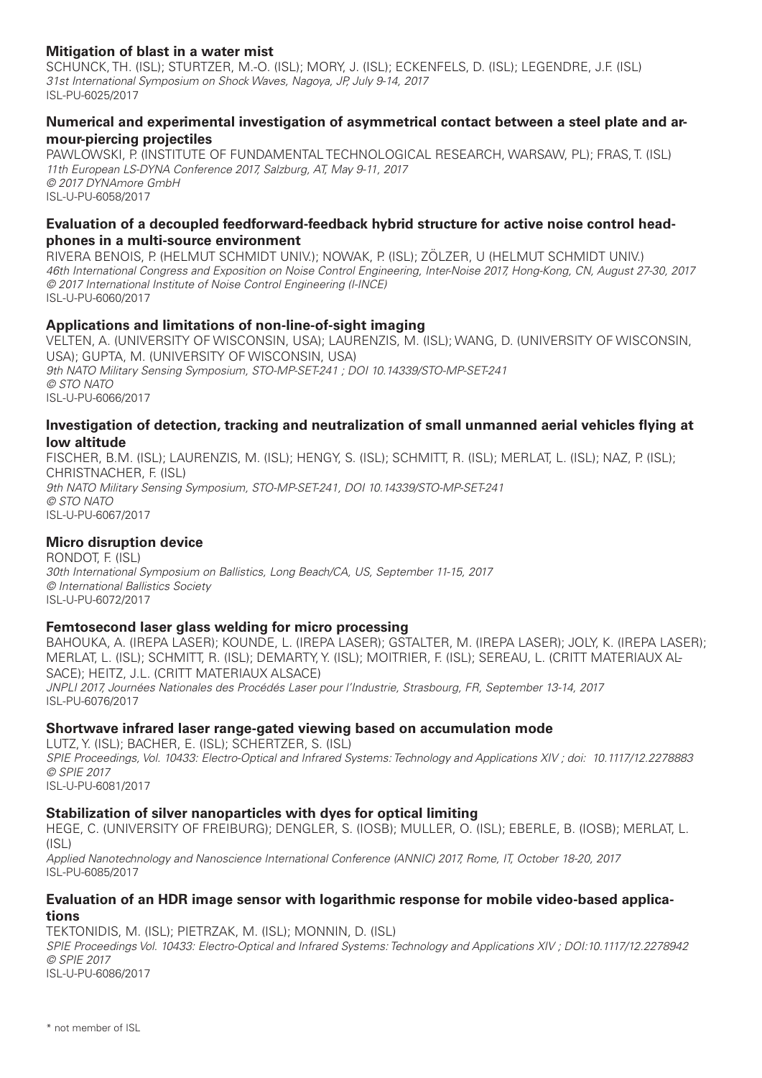# **Mitigation of blast in a water mist**

SCHUNCK, Th. (ISL); STURTZER, M.-O. (ISL); MORY, J. (ISL); ECKENFELS, D. (ISL); LEGENDRE, J.F. (ISL) *31st International Symposium on Shock Waves, Nagoya, JP, July 9-14, 2017* ISL-PU-6025/2017

# **Numerical and experimental investigation of asymmetrical contact between a steel plate and armour-piercing projectiles**

PAWLOWSKI, P. (Institute of Fundamental Technological Research, Warsaw, PL); FRAS, T. (ISL) *11th European LS-DYNA Conference 2017, Salzburg, AT, May 9-11, 2017 © 2017 DYNAmore GmbH* ISL-U-PU-6058/2017

# **Evaluation of a decoupled feedforward-feedback hybrid structure for active noise control headphones in a multi-source environment**

RIVERA BENOIS, P. (Helmut Schmidt Univ.); NOWAK, P. (ISL); ZÖLZER, U (Helmut Schmidt Univ.) *46th International Congress and Exposition on Noise Control Engineering, Inter-Noise 2017, Hong-Kong, CN, August 27-30, 2017 © 2017 International Institute of Noise Control Engineering (I-INCE)* ISL-U-PU-6060/2017

# **Applications and limitations of non-line-of-sight imaging**

VELTEN, A. (University of Wisconsin, USA); LAURENZIS, M. (ISL); WANG, D. (University of Wisconsin, USA); GUPTA, M. (University of Wisconsin, USA) *9th NATO Military Sensing Symposium, STO-MP-SET-241 ; DOI 10.14339/STO-MP-SET-241 © STO NATO* ISL-U-PU-6066/2017

#### **Investigation of detection, tracking and neutralization of small unmanned aerial vehicles flying at low altitude**

FISCHER, B.M. (ISL); LAURENZIS, M. (ISL); HENGY, S. (ISL); SCHMITT, R. (ISL); MERLAT, L. (ISL); NAZ, P. (ISL); CHRISTNACHER, F. (ISL) *9th NATO Military Sensing Symposium, STO-MP-SET-241, DOI 10.14339/STO-MP-SET-241 © STO NATO* ISL-U-PU-6067/2017

# **Micro disruption device**

RONDOT, F. (ISL) *30th International Symposium on Ballistics, Long Beach/CA, US, September 11-15, 2017 © International Ballistics Society* ISL-U-PU-6072/2017

# **Femtosecond laser glass welding for micro processing**

BAHOUKA, A. (IREPA LASER); KOUNDE, L. (IREPA LASER); GSTALTER, M. (IREPA LASER); JOLY, K. (IREPA LASER); MERLAT, L. (ISL); SCHMITT, R. (ISL); DEMARTY, Y. (ISL); MOITRIER, F. (ISL); SEREAU, L. (CRITT MATERIAUX AL-SACE); HEITZ, J.L. (CRITT MATERIAUX ALSACE) *JNPLI 2017, Journées Nationales des Procédés Laser pour l'Industrie, Strasbourg, FR, September 13-14, 2017* ISL-PU-6076/2017

# **Shortwave infrared laser range-gated viewing based on accumulation mode**

LUTZ, Y. (ISL); BACHER, E. (ISL); SCHERTZER, S. (ISL) *SPIE Proceedings, Vol. 10433: Electro-Optical and Infrared Systems: Technology and Applications XIV ; doi: 10.1117/12.2278883 © SPIE 2017* ISL-U-PU-6081/2017

# **Stabilization of silver nanoparticles with dyes for optical limiting**

HEGE, C. (University of Freiburg); DENGLER, S. (IOSB); MULLER, O. (ISL); EBERLE, B. (IOSB); MERLAT, L.  $(ISL)$ *Applied Nanotechnology and Nanoscience International Conference (ANNIC) 2017, Rome, IT, October 18-20, 2017* ISL-PU-6085/2017

#### **Evaluation of an HDR image sensor with logarithmic response for mobile video-based applications**

TEKTONIDIS, M. (ISL); PIETRZAK, M. (ISL); MONNIN, D. (ISL) *SPIE Proceedings Vol. 10433: Electro-Optical and Infrared Systems: Technology and Applications XIV ; DOI:10.1117/12.2278942 © SPIE 2017* ISL-U-PU-6086/2017